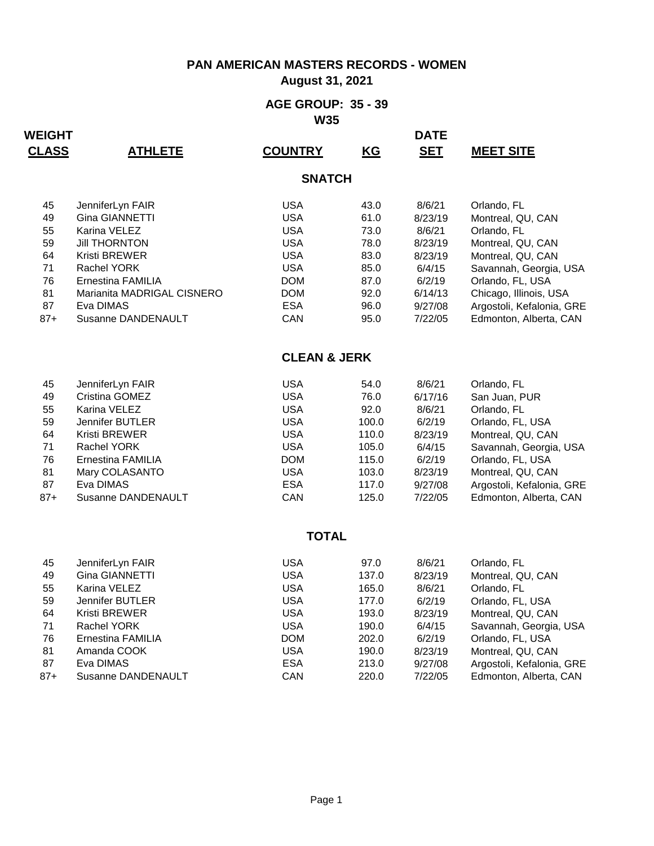**August 31, 2021**

#### **AGE GROUP: 35 - 39 W35**

| <b>CLASS</b> | <b>ATHLETE</b>             | <b>COUNTRY</b>          | KG    | <b>SET</b> | <b>MEET SITE</b>          |
|--------------|----------------------------|-------------------------|-------|------------|---------------------------|
|              |                            | <b>SNATCH</b>           |       |            |                           |
| 45           | JenniferLyn FAIR           | <b>USA</b>              | 43.0  | 8/6/21     | Orlando, FL               |
| 49           | Gina GIANNETTI             | <b>USA</b>              | 61.0  | 8/23/19    | Montreal, QU, CAN         |
| 55           | Karina VELEZ               | <b>USA</b>              | 73.0  | 8/6/21     | Orlando, FL               |
| 59           | <b>Jill THORNTON</b>       | <b>USA</b>              | 78.0  | 8/23/19    | Montreal, QU, CAN         |
| 64           | Kristi BREWER              | <b>USA</b>              | 83.0  | 8/23/19    | Montreal, QU, CAN         |
| 71           | <b>Rachel YORK</b>         | <b>USA</b>              | 85.0  | 6/4/15     | Savannah, Georgia, USA    |
| 76           | Ernestina FAMILIA          | <b>DOM</b>              | 87.0  | 6/2/19     | Orlando, FL, USA          |
| 81           | Marianita MADRIGAL CISNERO | <b>DOM</b>              | 92.0  | 6/14/13    | Chicago, Illinois, USA    |
| 87           | Eva DIMAS                  | <b>ESA</b>              | 96.0  | 9/27/08    | Argostoli, Kefalonia, GRE |
| $87 +$       | Susanne DANDENAULT         | CAN                     | 95.0  | 7/22/05    | Edmonton, Alberta, CAN    |
|              |                            | <b>CLEAN &amp; JERK</b> |       |            |                           |
| 45           | JenniferLyn FAIR           | <b>USA</b>              | 54.0  | 8/6/21     | Orlando, FL               |
| 49           | Cristina GOMEZ             | <b>USA</b>              | 76.0  | 6/17/16    | San Juan, PUR             |
| 55           | Karina VELEZ               | <b>USA</b>              | 92.0  | 8/6/21     | Orlando, FL               |
| 59           | Jennifer BUTLER            | <b>USA</b>              | 100.0 | 6/2/19     | Orlando, FL, USA          |
| 64           | Kristi BREWER              | <b>USA</b>              | 110.0 | 8/23/19    | Montreal, QU, CAN         |
| 71           | Rachel YORK                | <b>USA</b>              | 105.0 | 6/4/15     | Savannah, Georgia, USA    |
| 76           | Ernestina FAMILIA          | <b>DOM</b>              | 115.0 | 6/2/19     | Orlando, FL, USA          |
| 81           | Mary COLASANTO             | <b>USA</b>              | 103.0 | 8/23/19    | Montreal, QU, CAN         |
| 87           | Eva DIMAS                  | <b>ESA</b>              | 117.0 | 9/27/08    | Argostoli, Kefalonia, GRE |
| $87+$        | Susanne DANDENAULT         | CAN                     | 125.0 | 7/22/05    | Edmonton, Alberta, CAN    |
|              |                            | <b>TOTAL</b>            |       |            |                           |
| 45           | JenniferLyn FAIR           | <b>USA</b>              | 97.0  | 8/6/21     | Orlando, FL               |
| 49           | Gina GIANNETTI             | <b>USA</b>              | 137.0 | 8/23/19    | Montreal, QU, CAN         |
| 55           | Karina VELEZ               | <b>USA</b>              | 165.0 | 8/6/21     | Orlando, FL               |
| 59           | Jennifer BUTLER            | <b>USA</b>              | 177.0 | 6/2/19     | Orlando, FL, USA          |
| 64           | Kristi BREWER              | <b>USA</b>              | 193.0 | 8/23/19    | Montreal, QU, CAN         |
| 71           | Rachel YORK                | <b>USA</b>              | 190.0 | 6/4/15     | Savannah, Georgia, USA    |
| 76           | Ernestina FAMILIA          | <b>DOM</b>              | 202.0 | 6/2/19     | Orlando, FL, USA          |
| 81           | Amanda COOK                | <b>USA</b>              | 190.0 | 8/23/19    | Montreal, QU, CAN         |
| 87           | Eva DIMAS                  | <b>ESA</b>              | 213.0 | 9/27/08    | Argostoli, Kefalonia, GRE |
| $87+$        | Susanne DANDENAULT         | CAN                     | 220.0 | 7/22/05    | Edmonton, Alberta, CAN    |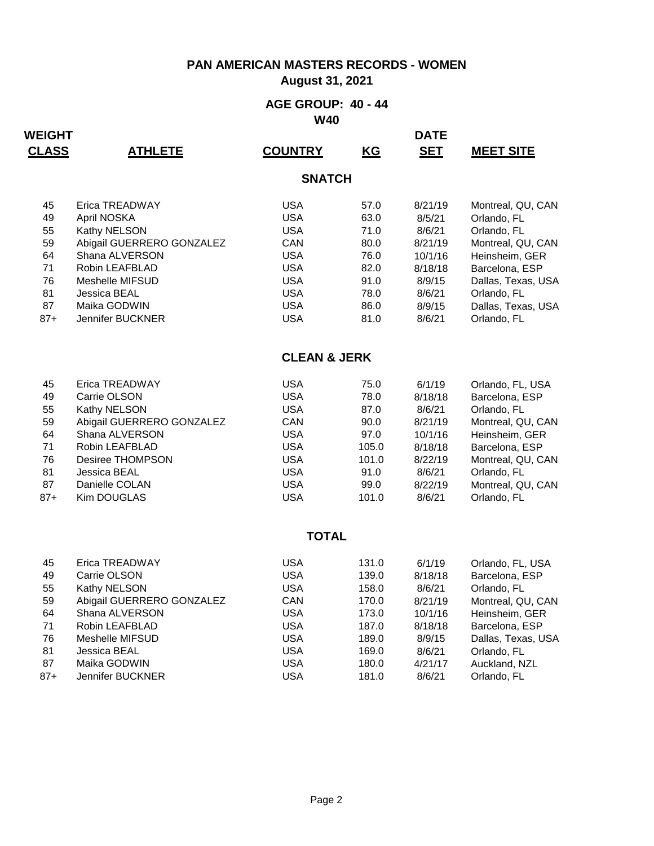**August 31, 2021**

#### **AGE GROUP: 40 - 44 W40**

| <u>CLASS</u> | <u>ATHLETE</u>            | <b>COUNTRY</b>          | <u>KG</u> | <u>SET</u> | <b>MEET SITE</b>   |
|--------------|---------------------------|-------------------------|-----------|------------|--------------------|
|              |                           | <b>SNATCH</b>           |           |            |                    |
| 45           | Erica TREADWAY            | <b>USA</b>              | 57.0      | 8/21/19    | Montreal, QU, CAN  |
| 49           | April NOSKA               | <b>USA</b>              | 63.0      | 8/5/21     | Orlando, FL        |
| 55           | Kathy NELSON              | <b>USA</b>              | 71.0      | 8/6/21     | Orlando, FL        |
| 59           | Abigail GUERRERO GONZALEZ | CAN                     | 80.0      | 8/21/19    | Montreal, QU, CAN  |
| 64           | Shana ALVERSON            | <b>USA</b>              | 76.0      | 10/1/16    | Heinsheim, GER     |
| 71           | Robin LEAFBLAD            | <b>USA</b>              | 82.0      | 8/18/18    | Barcelona, ESP     |
| 76           | Meshelle MIFSUD           | <b>USA</b>              | 91.0      | 8/9/15     | Dallas, Texas, USA |
| 81           | Jessica BEAL              | <b>USA</b>              | 78.0      | 8/6/21     | Orlando, FL        |
| 87           | Maika GODWIN              | <b>USA</b>              | 86.0      | 8/9/15     | Dallas, Texas, USA |
| $87+$        | Jennifer BUCKNER          | <b>USA</b>              | 81.0      | 8/6/21     | Orlando, FL        |
|              |                           |                         |           |            |                    |
|              |                           | <b>CLEAN &amp; JERK</b> |           |            |                    |
| 45           | Erica TREADWAY            | <b>USA</b>              | 75.0      | 6/1/19     | Orlando, FL, USA   |
| 49           | Carrie OLSON              | <b>USA</b>              | 78.0      | 8/18/18    | Barcelona, ESP     |
| 55           | Kathy NELSON              | <b>USA</b>              | 87.0      | 8/6/21     | Orlando, FL        |
| 59           | Abigail GUERRERO GONZALEZ | CAN                     | 90.0      | 8/21/19    | Montreal, QU, CAN  |
| 64           | Shana ALVERSON            | <b>USA</b>              | 97.0      | 10/1/16    | Heinsheim, GER     |
| 71           | Robin LEAFBLAD            | <b>USA</b>              | 105.0     | 8/18/18    | Barcelona, ESP     |
| 76           | Desiree THOMPSON          | <b>USA</b>              | 101.0     | 8/22/19    | Montreal, QU, CAN  |
| 81           | Jessica BEAL              | <b>USA</b>              | 91.0      | 8/6/21     | Orlando, FL        |
| 87           | Danielle COLAN            | <b>USA</b>              | 99.0      | 8/22/19    | Montreal, QU, CAN  |
| $87+$        | Kim DOUGLAS               | <b>USA</b>              | 101.0     | 8/6/21     | Orlando, FL        |
|              |                           | <b>TOTAL</b>            |           |            |                    |
|              |                           |                         |           |            |                    |
| 45           | Erica TREADWAY            | <b>USA</b>              | 131.0     | 6/1/19     | Orlando, FL, USA   |
| 49           | Carrie OLSON              | <b>USA</b>              | 139.0     | 8/18/18    | Barcelona, ESP     |
| 55           | Kathy NELSON              | <b>USA</b>              | 158.0     | 8/6/21     | Orlando, FL        |
| 59           | Abigail GUERRERO GONZALEZ | CAN                     | 170.0     | 8/21/19    | Montreal, QU, CAN  |
| 64           | Shana ALVERSON            | <b>USA</b>              | 173.0     | 10/1/16    | Heinsheim, GER     |
| 71           | Robin LEAFBLAD            | <b>USA</b>              | 187.0     | 8/18/18    | Barcelona, ESP     |
| 76           | Meshelle MIFSUD           | <b>USA</b>              | 189.0     | 8/9/15     | Dallas, Texas, USA |
| 81           | Jessica BEAL              | <b>USA</b>              | 169.0     | 8/6/21     | Orlando, FL        |
| 87           | Maika GODWIN              | <b>USA</b>              | 180.0     | 4/21/17    | Auckland, NZL      |
| $87+$        | Jennifer BUCKNER          | <b>USA</b>              | 181.0     | 8/6/21     | Orlando, FL        |
|              |                           |                         |           |            |                    |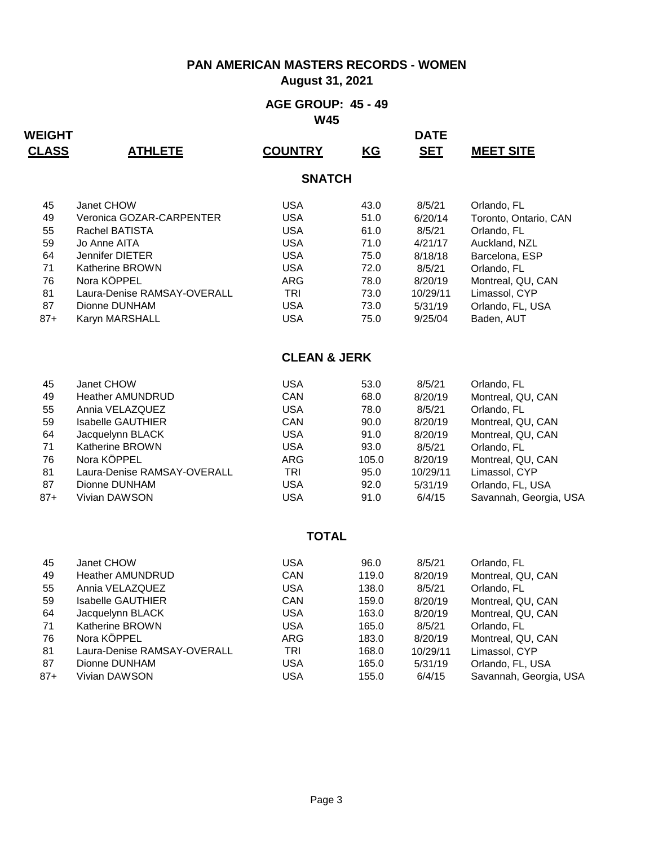**August 31, 2021**

#### **AGE GROUP: 45 - 49 W45**

| <b>CLASS</b> | <b>ATHLETE</b>              | <b>COUNTRY</b>          | <b>KG</b> | <b>SET</b> | <b>MEET SITE</b>       |
|--------------|-----------------------------|-------------------------|-----------|------------|------------------------|
|              |                             | <b>SNATCH</b>           |           |            |                        |
| 45           | Janet CHOW                  | <b>USA</b>              | 43.0      | 8/5/21     | Orlando, FL            |
| 49           | Veronica GOZAR-CARPENTER    | <b>USA</b>              | 51.0      | 6/20/14    | Toronto, Ontario, CAN  |
| 55           | Rachel BATISTA              | <b>USA</b>              | 61.0      | 8/5/21     | Orlando, FL            |
| 59           | Jo Anne AITA                | <b>USA</b>              | 71.0      | 4/21/17    | Auckland, NZL          |
| 64           | Jennifer DIETER             | <b>USA</b>              | 75.0      | 8/18/18    | Barcelona, ESP         |
| 71           | Katherine BROWN             | <b>USA</b>              | 72.0      | 8/5/21     | Orlando, FL            |
| 76           | Nora KÖPPEL                 | <b>ARG</b>              | 78.0      | 8/20/19    | Montreal, QU, CAN      |
| 81           | Laura-Denise RAMSAY-OVERALL | <b>TRI</b>              | 73.0      | 10/29/11   | Limassol, CYP          |
| 87           | Dionne DUNHAM               | <b>USA</b>              | 73.0      | 5/31/19    | Orlando, FL, USA       |
| $87+$        | Karyn MARSHALL              | <b>USA</b>              | 75.0      | 9/25/04    | Baden, AUT             |
|              |                             | <b>CLEAN &amp; JERK</b> |           |            |                        |
| 45           | Janet CHOW                  | <b>USA</b>              | 53.0      | 8/5/21     | Orlando, FL            |
| 49           | <b>Heather AMUNDRUD</b>     | CAN                     | 68.0      | 8/20/19    | Montreal, QU, CAN      |
| 55           | Annia VELAZQUEZ             | <b>USA</b>              | 78.0      | 8/5/21     | Orlando, FL            |
| 59           | <b>Isabelle GAUTHIER</b>    | CAN                     | 90.0      | 8/20/19    | Montreal, QU, CAN      |
| 64           | Jacquelynn BLACK            | <b>USA</b>              | 91.0      | 8/20/19    | Montreal, QU, CAN      |
| 71           | Katherine BROWN             | <b>USA</b>              | 93.0      | 8/5/21     | Orlando, FL            |
| 76           | Nora KÖPPEL                 | <b>ARG</b>              | 105.0     | 8/20/19    | Montreal, QU, CAN      |
| 81           | Laura-Denise RAMSAY-OVERALL | <b>TRI</b>              | 95.0      | 10/29/11   | Limassol, CYP          |
| 87           | Dionne DUNHAM               | <b>USA</b>              | 92.0      | 5/31/19    | Orlando, FL, USA       |
| $87 +$       | Vivian DAWSON               | <b>USA</b>              | 91.0      | 6/4/15     | Savannah, Georgia, USA |
|              |                             | <b>TOTAL</b>            |           |            |                        |
| 45           | Janet CHOW                  | <b>USA</b>              | 96.0      | 8/5/21     | Orlando, FL            |
| 49           | <b>Heather AMUNDRUD</b>     | CAN                     | 119.0     | 8/20/19    | Montreal, QU, CAN      |
| 55           | Annia VELAZQUEZ             | <b>USA</b>              | 138.0     | 8/5/21     | Orlando, FL            |
| 59           | <b>Isabelle GAUTHIER</b>    | CAN                     | 159.0     | 8/20/19    | Montreal, QU, CAN      |
| 64           | Jacquelynn BLACK            | <b>USA</b>              | 163.0     | 8/20/19    | Montreal, QU, CAN      |
| 71           | Katherine BROWN             | <b>USA</b>              | 165.0     | 8/5/21     | Orlando, FL            |
| 76           | Nora KÖPPEL                 | <b>ARG</b>              | 183.0     | 8/20/19    | Montreal, QU, CAN      |
| 81           | Laura-Denise RAMSAY-OVERALL | <b>TRI</b>              | 168.0     | 10/29/11   | Limassol, CYP          |
| 87           | Dionne DUNHAM               | <b>USA</b>              | 165.0     | 5/31/19    | Orlando, FL, USA       |
| $87+$        | Vivian DAWSON               | <b>USA</b>              | 155.0     | 6/4/15     | Savannah, Georgia, USA |
|              |                             |                         |           |            |                        |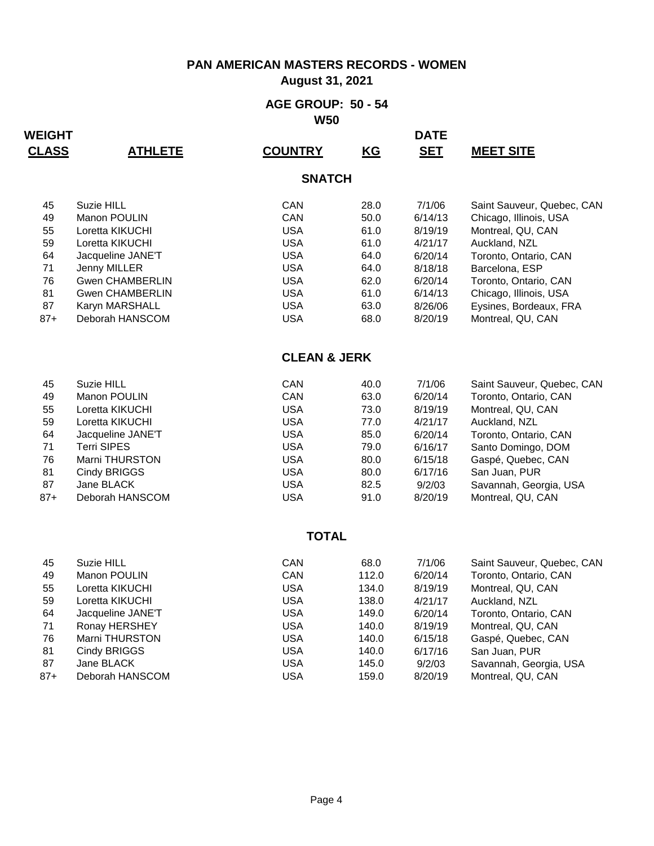**August 31, 2021**

#### **AGE GROUP: 50 - 54 W50**

| <b>CLASS</b> | <b>ATHLETE</b>         | <b>COUNTRY</b>          | KG    | <b>SET</b> | <b>MEET SITE</b>           |
|--------------|------------------------|-------------------------|-------|------------|----------------------------|
|              |                        | <b>SNATCH</b>           |       |            |                            |
| 45           | Suzie HILL             | CAN                     | 28.0  | 7/1/06     | Saint Sauveur, Quebec, CAN |
| 49           | Manon POULIN           | CAN                     | 50.0  | 6/14/13    | Chicago, Illinois, USA     |
| 55           | Loretta KIKUCHI        | <b>USA</b>              | 61.0  | 8/19/19    | Montreal, QU, CAN          |
| 59           | Loretta KIKUCHI        | <b>USA</b>              | 61.0  | 4/21/17    | Auckland, NZL              |
| 64           | Jacqueline JANE'T      | <b>USA</b>              | 64.0  | 6/20/14    | Toronto, Ontario, CAN      |
| 71           | Jenny MILLER           | <b>USA</b>              | 64.0  | 8/18/18    | Barcelona, ESP             |
| 76           | <b>Gwen CHAMBERLIN</b> | <b>USA</b>              | 62.0  | 6/20/14    | Toronto, Ontario, CAN      |
| 81           | <b>Gwen CHAMBERLIN</b> | <b>USA</b>              | 61.0  | 6/14/13    | Chicago, Illinois, USA     |
| 87           | Karyn MARSHALL         | <b>USA</b>              | 63.0  | 8/26/06    | Eysines, Bordeaux, FRA     |
| $87+$        | Deborah HANSCOM        | <b>USA</b>              | 68.0  | 8/20/19    | Montreal, QU, CAN          |
|              |                        | <b>CLEAN &amp; JERK</b> |       |            |                            |
| 45           | Suzie HILL             | CAN                     | 40.0  | 7/1/06     | Saint Sauveur, Quebec, CAN |
| 49           | Manon POULIN           | CAN                     | 63.0  | 6/20/14    | Toronto, Ontario, CAN      |
| 55           | Loretta KIKUCHI        | <b>USA</b>              | 73.0  | 8/19/19    | Montreal, QU, CAN          |
| 59           | Loretta KIKUCHI        | <b>USA</b>              | 77.0  | 4/21/17    | Auckland, NZL              |
| 64           | Jacqueline JANE'T      | <b>USA</b>              | 85.0  | 6/20/14    | Toronto, Ontario, CAN      |
| 71           | <b>Terri SIPES</b>     | <b>USA</b>              | 79.0  | 6/16/17    | Santo Domingo, DOM         |
| 76           | Marni THURSTON         | <b>USA</b>              | 80.0  | 6/15/18    | Gaspé, Quebec, CAN         |
| 81           | Cindy BRIGGS           | <b>USA</b>              | 80.0  | 6/17/16    | San Juan, PUR              |
| 87           | Jane BLACK             | <b>USA</b>              | 82.5  | 9/2/03     | Savannah, Georgia, USA     |
| $87+$        | Deborah HANSCOM        | <b>USA</b>              | 91.0  | 8/20/19    | Montreal, QU, CAN          |
|              |                        | <b>TOTAL</b>            |       |            |                            |
| 45           | Suzie HILL             | CAN                     | 68.0  | 7/1/06     | Saint Sauveur, Quebec, CAN |
| 49           | Manon POULIN           | CAN                     | 112.0 | 6/20/14    | Toronto, Ontario, CAN      |
| 55           | Loretta KIKUCHI        | <b>USA</b>              | 134.0 | 8/19/19    | Montreal, QU, CAN          |
| 59           | Loretta KIKUCHI        | <b>USA</b>              | 138.0 | 4/21/17    | Auckland, NZL              |
| 64           | Jacqueline JANE'T      | <b>USA</b>              | 149.0 | 6/20/14    | Toronto, Ontario, CAN      |
| 71           | Ronay HERSHEY          | <b>USA</b>              | 140.0 | 8/19/19    | Montreal, QU, CAN          |
| 76           | Marni THURSTON         | <b>USA</b>              | 140.0 | 6/15/18    | Gaspé, Quebec, CAN         |
| 81           | Cindy BRIGGS           | <b>USA</b>              | 140.0 | 6/17/16    | San Juan, PUR              |
| 87           | Jane BLACK             | <b>USA</b>              | 145.0 | 9/2/03     | Savannah, Georgia, USA     |
| $87 +$       | Deborah HANSCOM        | <b>USA</b>              | 159.0 | 8/20/19    | Montreal, QU, CAN          |
|              |                        |                         |       |            |                            |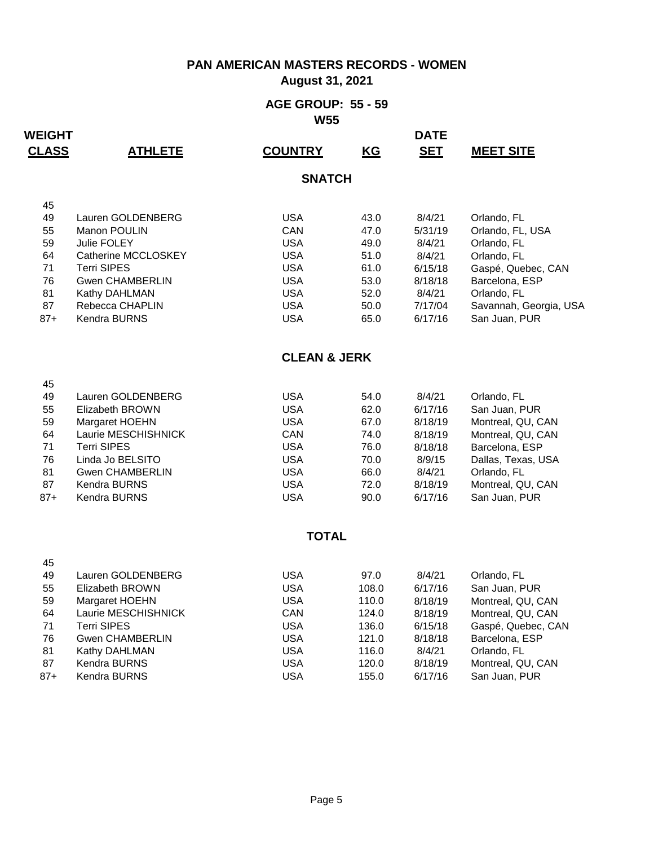### **August 31, 2021**

#### **AGE GROUP: 55 - 59 W55**

| <b>CLASS</b> | <b>ATHLETE</b>         | <b>COUNTRY</b>          | <b>KG</b> | <u>SET</u> | <b>MEET SITE</b>       |
|--------------|------------------------|-------------------------|-----------|------------|------------------------|
|              |                        | <b>SNATCH</b>           |           |            |                        |
| 45           |                        |                         |           |            |                        |
| 49           | Lauren GOLDENBERG      | <b>USA</b>              | 43.0      | 8/4/21     | Orlando, FL            |
| 55           | Manon POULIN           | CAN                     | 47.0      | 5/31/19    | Orlando, FL, USA       |
| 59           | <b>Julie FOLEY</b>     | <b>USA</b>              | 49.0      | 8/4/21     | Orlando, FL            |
| 64           | Catherine MCCLOSKEY    | <b>USA</b>              | 51.0      | 8/4/21     | Orlando, FL            |
| 71           | <b>Terri SIPES</b>     | <b>USA</b>              | 61.0      | 6/15/18    | Gaspé, Quebec, CAN     |
| 76           | <b>Gwen CHAMBERLIN</b> | <b>USA</b>              | 53.0      | 8/18/18    | Barcelona, ESP         |
| 81           | Kathy DAHLMAN          | <b>USA</b>              | 52.0      | 8/4/21     | Orlando, FL            |
| 87           | Rebecca CHAPLIN        | <b>USA</b>              | 50.0      | 7/17/04    | Savannah, Georgia, USA |
| $87 +$       | Kendra BURNS           | <b>USA</b>              | 65.0      | 6/17/16    | San Juan, PUR          |
|              |                        | <b>CLEAN &amp; JERK</b> |           |            |                        |
| 45           |                        |                         |           |            |                        |
| 49           | Lauren GOLDENBERG      | <b>USA</b>              | 54.0      | 8/4/21     | Orlando, FL            |
| 55           | Elizabeth BROWN        | <b>USA</b>              | 62.0      | 6/17/16    | San Juan, PUR          |
| 59           | Margaret HOEHN         | <b>USA</b>              | 67.0      | 8/18/19    | Montreal, QU, CAN      |
| 64           | Laurie MESCHISHNICK    | CAN                     | 74.0      | 8/18/19    | Montreal, QU, CAN      |
| 71           | <b>Terri SIPES</b>     | <b>USA</b>              | 76.0      | 8/18/18    | Barcelona, ESP         |
| 76           | Linda Jo BELSITO       | <b>USA</b>              | 70.0      | 8/9/15     | Dallas, Texas, USA     |
| 81           | <b>Gwen CHAMBERLIN</b> | <b>USA</b>              | 66.0      | 8/4/21     | Orlando, FL            |
| 87           | Kendra BURNS           | <b>USA</b>              | 72.0      | 8/18/19    | Montreal, QU, CAN      |
| $87+$        | Kendra BURNS           | <b>USA</b>              | 90.0      | 6/17/16    | San Juan, PUR          |
|              |                        | <b>TOTAL</b>            |           |            |                        |
| 45           |                        |                         |           |            |                        |
| 49           | Lauren GOLDENBERG      | <b>USA</b>              | 97.0      | 8/4/21     | Orlando, FL            |
| 55           | Elizabeth BROWN        | <b>USA</b>              | 108.0     | 6/17/16    | San Juan, PUR          |
| 59           | Margaret HOEHN         | <b>USA</b>              | 110.0     | 8/18/19    | Montreal, QU, CAN      |
| 64           | Laurie MESCHISHNICK    | CAN                     | 124.0     | 8/18/19    | Montreal, QU, CAN      |
| 71           | <b>Terri SIPES</b>     | <b>USA</b>              | 136.0     | 6/15/18    | Gaspé, Quebec, CAN     |
| 76           | <b>Gwen CHAMBERLIN</b> | <b>USA</b>              | 121.0     | 8/18/18    | Barcelona, ESP         |
| 81           | Kathy DAHLMAN          | <b>USA</b>              | 116.0     | 8/4/21     | Orlando, FL            |
| 87           | Kendra BURNS           | <b>USA</b>              | 120.0     | 8/18/19    | Montreal, QU, CAN      |
| $87 +$       | Kendra BURNS           | <b>USA</b>              | 155.0     | 6/17/16    | San Juan, PUR          |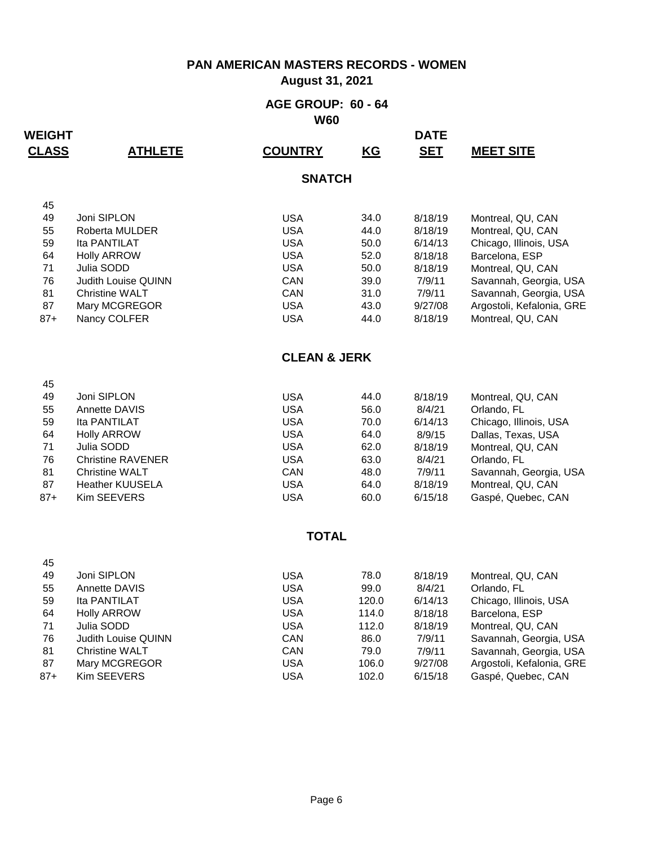### **August 31, 2021**

#### **AGE GROUP: 60 - 64 W60**

| <b>CLASS</b> | <b>ATHLETE</b>                        | <b>COUNTRY</b>           | <b>KG</b>     | <u>SET</u>         | <b>MEET SITE</b>                         |
|--------------|---------------------------------------|--------------------------|---------------|--------------------|------------------------------------------|
|              |                                       | <b>SNATCH</b>            |               |                    |                                          |
| 45           |                                       |                          |               |                    |                                          |
| 49           | Joni SIPLON                           | <b>USA</b>               | 34.0          | 8/18/19            | Montreal, QU, CAN                        |
| 55           | Roberta MULDER                        | <b>USA</b>               | 44.0          | 8/18/19            | Montreal, QU, CAN                        |
| 59           | Ita PANTILAT                          | <b>USA</b>               | 50.0          | 6/14/13            | Chicago, Illinois, USA                   |
| 64           | <b>Holly ARROW</b>                    | <b>USA</b>               | 52.0          | 8/18/18            | Barcelona, ESP                           |
| 71           | Julia SODD                            | <b>USA</b>               | 50.0          | 8/18/19            | Montreal, QU, CAN                        |
| 76           | Judith Louise QUINN                   | CAN                      | 39.0          | 7/9/11             | Savannah, Georgia, USA                   |
| 81           | Christine WALT                        | CAN                      | 31.0          | 7/9/11             | Savannah, Georgia, USA                   |
| 87           | Mary MCGREGOR                         | <b>USA</b>               | 43.0          | 9/27/08            | Argostoli, Kefalonia, GRE                |
| $87+$        | Nancy COLFER                          | <b>USA</b>               | 44.0          | 8/18/19            | Montreal, QU, CAN                        |
|              |                                       | <b>CLEAN &amp; JERK</b>  |               |                    |                                          |
| 45           |                                       |                          |               |                    |                                          |
| 49           | Joni SIPLON                           | <b>USA</b>               | 44.0          | 8/18/19            | Montreal, QU, CAN                        |
| 55           | Annette DAVIS                         | <b>USA</b>               | 56.0          | 8/4/21             | Orlando, FL                              |
| 59           | Ita PANTILAT                          | <b>USA</b>               | 70.0          | 6/14/13            | Chicago, Illinois, USA                   |
| 64           | <b>Holly ARROW</b>                    | <b>USA</b>               | 64.0          | 8/9/15             | Dallas, Texas, USA                       |
| 71           | Julia SODD                            | <b>USA</b>               | 62.0          | 8/18/19            | Montreal, QU, CAN                        |
| 76           | <b>Christine RAVENER</b>              | <b>USA</b>               | 63.0          | 8/4/21             | Orlando, FL                              |
| 81<br>87     | <b>Christine WALT</b>                 | CAN<br><b>USA</b>        | 48.0          | 7/9/11             | Savannah, Georgia, USA                   |
| $87+$        | <b>Heather KUUSELA</b><br>Kim SEEVERS | <b>USA</b>               | 64.0<br>60.0  | 8/18/19<br>6/15/18 | Montreal, QU, CAN<br>Gaspé, Quebec, CAN  |
|              |                                       |                          |               |                    |                                          |
|              |                                       | <b>TOTAL</b>             |               |                    |                                          |
| 45           |                                       |                          |               |                    |                                          |
| 49<br>55     | Joni SIPLON                           | <b>USA</b><br><b>USA</b> | 78.0          | 8/18/19            | Montreal, QU, CAN                        |
| 59           | Annette DAVIS                         | <b>USA</b>               | 99.0<br>120.0 | 8/4/21<br>6/14/13  | Orlando, FL                              |
| 64           | Ita PANTILAT<br><b>Holly ARROW</b>    | <b>USA</b>               | 114.0         | 8/18/18            | Chicago, Illinois, USA<br>Barcelona, ESP |
| 71           | Julia SODD                            | <b>USA</b>               | 112.0         | 8/18/19            | Montreal, QU, CAN                        |
| 76           | Judith Louise QUINN                   | CAN                      | 86.0          | 7/9/11             | Savannah, Georgia, USA                   |
| 81           | <b>Christine WALT</b>                 | CAN                      | 79.0          | 7/9/11             | Savannah, Georgia, USA                   |
| 87           | Mary MCGREGOR                         | <b>USA</b>               | 106.0         | 9/27/08            | Argostoli, Kefalonia, GRE                |
| $87+$        | Kim SEEVERS                           | <b>USA</b>               | 102.0         | 6/15/18            | Gaspé, Quebec, CAN                       |
|              |                                       |                          |               |                    |                                          |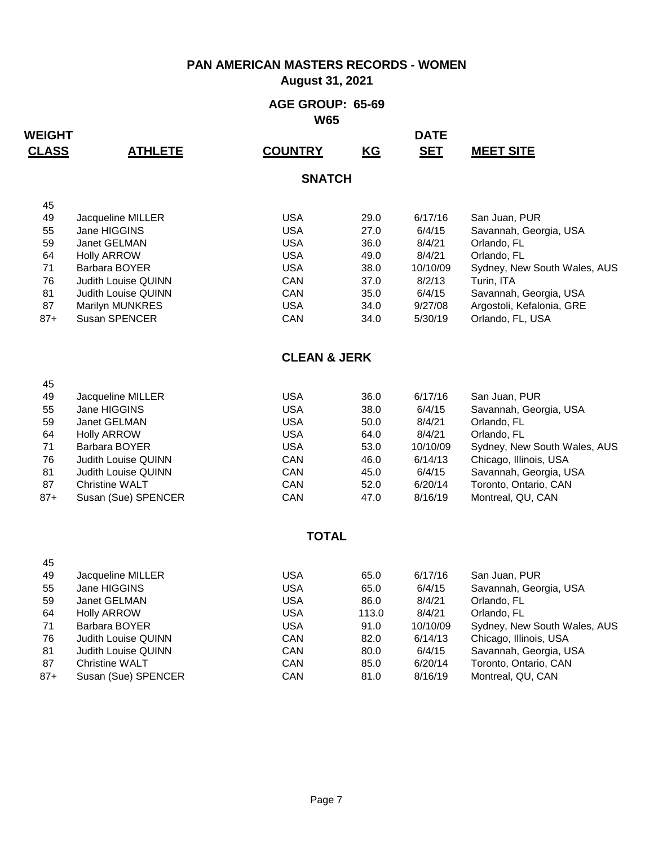### **August 31, 2021**

#### **AGE GROUP: 65-69 W65**

| <b>CLASS</b> | <b>ATHLETE</b>             | <b>COUNTRY</b>          | <b>KG</b> | <u>SET</u> | <b>MEET SITE</b>             |
|--------------|----------------------------|-------------------------|-----------|------------|------------------------------|
|              |                            | <b>SNATCH</b>           |           |            |                              |
| 45           |                            |                         |           |            |                              |
| 49           | Jacqueline MILLER          | <b>USA</b>              | 29.0      | 6/17/16    | San Juan, PUR                |
| 55           | Jane HIGGINS               | <b>USA</b>              | 27.0      | 6/4/15     | Savannah, Georgia, USA       |
| 59           | Janet GELMAN               | <b>USA</b>              | 36.0      | 8/4/21     | Orlando, FL                  |
| 64           | <b>Holly ARROW</b>         | <b>USA</b>              | 49.0      | 8/4/21     | Orlando, FL                  |
| 71           | Barbara BOYER              | <b>USA</b>              | 38.0      | 10/10/09   | Sydney, New South Wales, AUS |
| 76           | <b>Judith Louise QUINN</b> | CAN                     | 37.0      | 8/2/13     | Turin, ITA                   |
| 81           | Judith Louise QUINN        | CAN                     | 35.0      | 6/4/15     | Savannah, Georgia, USA       |
| 87           | Marilyn MUNKRES            | <b>USA</b>              | 34.0      | 9/27/08    | Argostoli, Kefalonia, GRE    |
| $87+$        | Susan SPENCER              | CAN                     | 34.0      | 5/30/19    | Orlando, FL, USA             |
|              |                            | <b>CLEAN &amp; JERK</b> |           |            |                              |
| 45           |                            |                         |           |            |                              |
| 49           | Jacqueline MILLER          | <b>USA</b>              | 36.0      | 6/17/16    | San Juan, PUR                |
| 55           | Jane HIGGINS               | <b>USA</b>              | 38.0      | 6/4/15     | Savannah, Georgia, USA       |
| 59           | Janet GELMAN               | <b>USA</b>              | 50.0      | 8/4/21     | Orlando, FL                  |
| 64           | <b>Holly ARROW</b>         | <b>USA</b>              | 64.0      | 8/4/21     | Orlando, FL                  |
| 71           | Barbara BOYER              | <b>USA</b>              | 53.0      | 10/10/09   | Sydney, New South Wales, AUS |
| 76           | <b>Judith Louise QUINN</b> | CAN                     | 46.0      | 6/14/13    | Chicago, Illinois, USA       |
| 81           | Judith Louise QUINN        | CAN                     | 45.0      | 6/4/15     | Savannah, Georgia, USA       |
| 87           | <b>Christine WALT</b>      | CAN                     | 52.0      | 6/20/14    | Toronto, Ontario, CAN        |
| $87+$        | Susan (Sue) SPENCER        | CAN                     | 47.0      | 8/16/19    | Montreal, QU, CAN            |
|              |                            | <b>TOTAL</b>            |           |            |                              |
| 45           |                            |                         |           |            |                              |
| 49           | Jacqueline MILLER          | <b>USA</b>              | 65.0      | 6/17/16    | San Juan, PUR                |
| 55           | Jane HIGGINS               | <b>USA</b>              | 65.0      | 6/4/15     | Savannah, Georgia, USA       |
| 59           | Janet GELMAN               | <b>USA</b>              | 86.0      | 8/4/21     | Orlando, FL                  |
| 64           | <b>Holly ARROW</b>         | <b>USA</b>              | 113.0     | 8/4/21     | Orlando, FL                  |
| 71           | Barbara BOYER              | <b>USA</b>              | 91.0      | 10/10/09   | Sydney, New South Wales, AUS |
| 76           | Judith Louise QUINN        | CAN                     | 82.0      | 6/14/13    | Chicago, Illinois, USA       |
| 81           | Judith Louise QUINN        | CAN                     | 80.0      | 6/4/15     | Savannah, Georgia, USA       |
| 87           | <b>Christine WALT</b>      | CAN                     | 85.0      | 6/20/14    | Toronto, Ontario, CAN        |
| $87+$        | Susan (Sue) SPENCER        | CAN                     | 81.0      | 8/16/19    | Montreal, QU, CAN            |